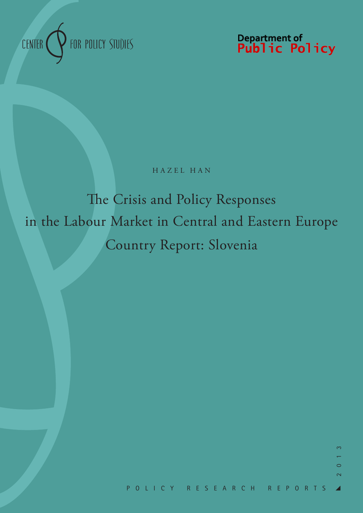

Department of<br>**Public Policy** 

# HAZEL HAN

# The Crisis and Policy Responses in the Labour Market in Central and Eastern Europe Country Report: Slovenia

 $\bigcap$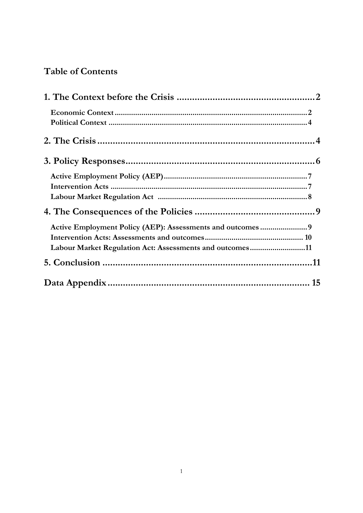# **Table of Contents**

| Labour Market Regulation Act: Assessments and outcomes11 |  |
|----------------------------------------------------------|--|
|                                                          |  |
|                                                          |  |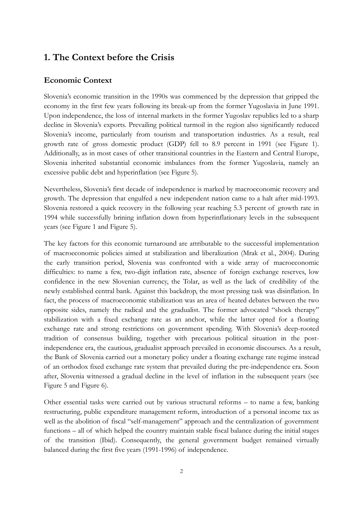# **1. The Context before the Crisis**

### **Economic Context**

Slovenia's economic transition in the 1990s was commenced by the depression that gripped the economy in the first few years following its break-up from the former Yugoslavia in June 1991. Upon independence, the loss of internal markets in the former Yugoslav republics led to a sharp decline in Slovenia's exports. Prevailing political turmoil in the region also significantly reduced Slovenia's income, particularly from tourism and transportation industries. As a result, real growth rate of gross domestic product (GDP) fell to 8.9 percent in 1991 (see Figure 1). Additionally, as in most cases of other transitional countries in the Eastern and Central Europe, Slovenia inherited substantial economic imbalances from the former Yugoslavia, namely an excessive public debt and hyperinflation (see Figure 5).

Nevertheless, Slovenia's first decade of independence is marked by macroeconomic recovery and growth. The depression that engulfed a new independent nation came to a halt after mid-1993. Slovenia restored a quick recovery in the following year reaching 5.3 percent of growth rate in 1994 while successfully brining inflation down from hyperinflationary levels in the subsequent years (see Figure 1 and Figure 5).

The key factors for this economic turnaround are attributable to the successful implementation of macroeconomic policies aimed at stabilization and liberalization (Mrak et al., 2004). During the early transition period, Slovenia was confronted with a wide array of macroeconomic difficulties: to name a few, two-digit inflation rate, absence of foreign exchange reserves, low confidence in the new Slovenian currency, the Tolar, as well as the lack of credibility of the newly established central bank. Against this backdrop, the most pressing task was disinflation. In fact, the process of macroeconomic stabilization was an area of heated debates between the two opposite sides, namely the radical and the gradualist. The former advocated "shock therapy" stabilization with a fixed exchange rate as an anchor, while the latter opted for a floating exchange rate and strong restrictions on government spending. With Slovenia's deep-rooted tradition of consensus building, together with precarious political situation in the postindependence era, the cautious, gradualist approach prevailed in economic discourses. As a result, the Bank of Slovenia carried out a monetary policy under a floating exchange rate regime instead of an orthodox fixed exchange rate system that prevailed during the pre-independence era. Soon after, Slovenia witnessed a gradual decline in the level of inflation in the subsequent years (see Figure 5 and Figure 6).

Other essential tasks were carried out by various structural reforms – to name a few, banking restructuring, public expenditure management reform, introduction of a personal income tax as well as the abolition of fiscal "self-management" approach and the centralization of government functions – all of which helped the country maintain stable fiscal balance during the initial stages of the transition (Ibid). Consequently, the general government budget remained virtually balanced during the first five years (1991-1996) of independence.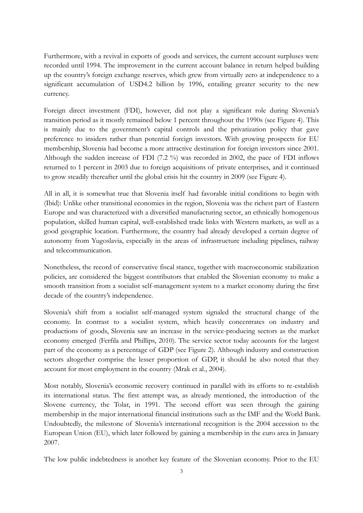Furthermore, with a revival in exports of goods and services, the current account surpluses were recorded until 1994. The improvement in the current account balance in return helped building up the country's foreign exchange reserves, which grew from virtually zero at independence to a significant accumulation of USD4.2 billion by 1996, entailing greater security to the new currency.

Foreign direct investment (FDI), however, did not play a significant role during Slovenia's transition period as it mostly remained below 1 percent throughout the 1990s (see Figure 4). This is mainly due to the government's capital controls and the privatization policy that gave preference to insiders rather than potential foreign investors. With growing prospects for EU membership, Slovenia had become a more attractive destination for foreign investors since 2001. Although the sudden increase of FDI (7.2 %) was recorded in 2002, the pace of FDI inflows returned to 1 percent in 2003 due to foreign acquisitions of private enterprises, and it continued to grow steadily thereafter until the global crisis hit the country in 2009 (see Figure 4).

All in all, it is somewhat true that Slovenia itself had favorable initial conditions to begin with (Ibid): Unlike other transitional economies in the region, Slovenia was the richest part of Eastern Europe and was characterized with a diversified manufacturing sector, an ethnically homogenous population, skilled human capital, well-established trade links with Western markets, as well as a good geographic location. Furthermore, the country had already developed a certain degree of autonomy from Yugoslavia, especially in the areas of infrastructure including pipelines, railway and telecommunication.

Nonetheless, the record of conservative fiscal stance, together with macroeconomic stabilization policies, are considered the biggest contributors that enabled the Slovenian economy to make a smooth transition from a socialist self-management system to a market economy during the first decade of the country's independence.

Slovenia's shift from a socialist self-managed system signaled the structural change of the economy. In contrast to a socialist system, which heavily concentrates on industry and productions of goods, Slovenia saw an increase in the service-producing sectors as the market economy emerged (Ferfila and Phillips, 2010). The service sector today accounts for the largest part of the economy as a percentage of GDP (see Figure 2). Although industry and construction sectors altogether comprise the lesser proportion of GDP, it should be also noted that they account for most employment in the country (Mrak et al., 2004).

Most notably, Slovenia's economic recovery continued in parallel with its efforts to re-establish its international status. The first attempt was, as already mentioned, the introduction of the Slovene currency, the Tolar, in 1991. The second effort was seen through the gaining membership in the major international financial institutions such as the IMF and the World Bank. Undoubtedly, the milestone of Slovenia's international recognition is the 2004 accession to the European Union (EU), which later followed by gaining a membership in the euro area in January 2007.

The low public indebtedness is another key feature of the Slovenian economy. Prior to the EU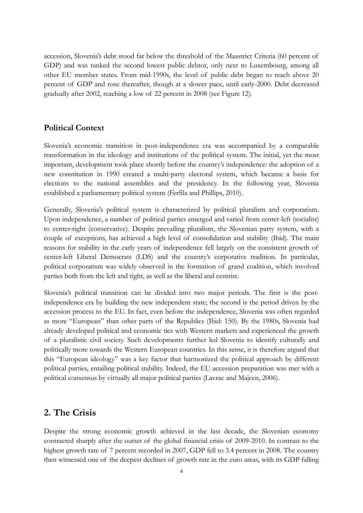accession, Slovenia's debt stood far below the threshold of the Maastrict Criteria (60 percent of GDP) and was ranked the second lowest public debtor, only next to Luxembourg, among all other EU member states. From mid-1990s, the level of public debt began to reach above 20 percent of GDP and rose thereafter, though at a slower pace, until early-2000. Debt decreased gradually after 2002, reaching a low of 22 percent in 2008 (see Figure 12).

#### **Political Context**

Slovenia's economic transition in post-independence era was accompanied by a comparable transformation in the ideology and institutions of the political system. The initial, yet the most important, development took place shortly before the country's independence: the adoption of a new constitution in 1990 created a multi-party electoral system, which became a basis for elections to the national assemblies and the presidency. In the following year, Slovenia established a parliamentary political system (Ferfila and Phillips, 2010).

Generally, Slovenia's political system is characterized by political pluralism and corporatism. Upon independence, a number of political parties emerged and varied from center-left (socialist) to center-right (conservative). Despite prevailing pluralism, the Slovenian party system, with a couple of exceptions, has achieved a high level of consolidation and stability (Ibid). The main reasons for stability in the early years of independence fell largely on the consistent growth of center-left Liberal Democrats (LDS) and the country's corporative tradition. In particular, political corporatism was widely observed in the formation of grand coalition, which involved parties both from the left and right, as well as the liberal and centrist.

Slovenia's political transition can be divided into two major periods. The first is the postindependence era by building the new independent state; the second is the period driven by the accession process to the EU. In fact, even before the independence, Slovenia was often regarded as more "European" than other parts of the Republics (Ibid: 150). By the 1980s, Slovenia had already developed political and economic ties with Western markets and experienced the growth of a pluralistic civil society. Such developments further led Slovenia to identify culturally and politically more towards the Western European countries. In this sense, it is therefore argued that this "European ideology" was a key factor that harmonized the political approach by different political parties, entailing political stability. Indeed, the EU accession preparation was met with a political consensus by virtually all major political parties (Lavrac and Majcen, 2006).

## **2. The Crisis**

Despite the strong economic growth achieved in the last decade, the Slovenian economy contracted sharply after the outset of the global financial crisis of 2009-2010. In contrast to the highest growth rate of 7 percent recorded in 2007, GDP fell to 3.4 percent in 2008. The country then witnessed one of the deepest declines of growth rate in the euro areas, with its GDP falling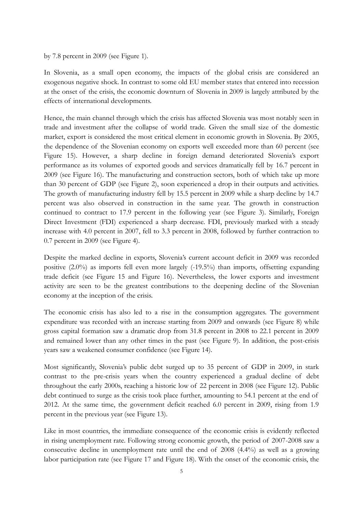by 7.8 percent in 2009 (see Figure 1).

In Slovenia, as a small open economy, the impacts of the global crisis are considered an exogenous negative shock. In contrast to some old EU member states that entered into recession at the onset of the crisis, the economic downturn of Slovenia in 2009 is largely attributed by the effects of international developments.

Hence, the main channel through which the crisis has affected Slovenia was most notably seen in trade and investment after the collapse of world trade. Given the small size of the domestic market, export is considered the most critical element in economic growth in Slovenia. By 2005, the dependence of the Slovenian economy on exports well exceeded more than 60 percent (see Figure 15). However, a sharp decline in foreign demand deteriorated Slovenia's export performance as its volumes of exported goods and services dramatically fell by 16.7 percent in 2009 (see Figure 16). The manufacturing and construction sectors, both of which take up more than 30 percent of GDP (see Figure 2), soon experienced a drop in their outputs and activities. The growth of manufacturing industry fell by 15.5 percent in 2009 while a sharp decline by 14.7 percent was also observed in construction in the same year. The growth in construction continued to contract to 17.9 percent in the following year (see Figure 3). Similarly, Foreign Direct Investment (FDI) experienced a sharp decrease. FDI, previously marked with a steady increase with 4.0 percent in 2007, fell to 3.3 percent in 2008, followed by further contraction to 0.7 percent in 2009 (see Figure 4).

Despite the marked decline in exports, Slovenia's current account deficit in 2009 was recorded positive (2.0%) as imports fell even more largely (-19.5%) than imports, offsetting expanding trade deficit (see Figure 15 and Figure 16). Nevertheless, the lower exports and investment activity are seen to be the greatest contributions to the deepening decline of the Slovenian economy at the inception of the crisis.

The economic crisis has also led to a rise in the consumption aggregates. The government expenditure was recorded with an increase starting from 2009 and onwards (see Figure 8) while gross capital formation saw a dramatic drop from 31.8 percent in 2008 to 22.1 percent in 2009 and remained lower than any other times in the past (see Figure 9). In addition, the post-crisis years saw a weakened consumer confidence (see Figure 14).

Most significantly, Slovenia's public debt surged up to 35 percent of GDP in 2009, in stark contrast to the pre-crisis years when the country experienced a gradual decline of debt throughout the early 2000s, reaching a historic low of 22 percent in 2008 (see Figure 12). Public debt continued to surge as the crisis took place further, amounting to 54.1 percent at the end of 2012. At the same time, the government deficit reached 6.0 percent in 2009, rising from 1.9 percent in the previous year (see Figure 13).

Like in most countries, the immediate consequence of the economic crisis is evidently reflected in rising unemployment rate. Following strong economic growth, the period of 2007-2008 saw a consecutive decline in unemployment rate until the end of 2008 (4.4%) as well as a growing labor participation rate (see Figure 17 and Figure 18). With the onset of the economic crisis, the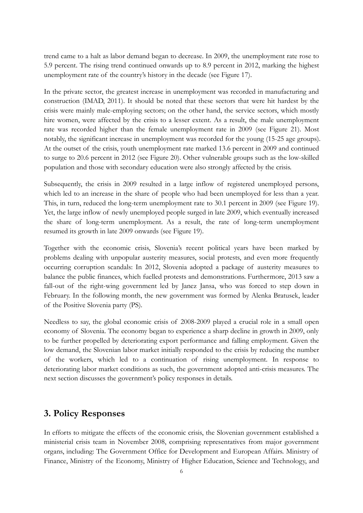trend came to a halt as labor demand began to decrease. In 2009, the unemployment rate rose to 5.9 percent. The rising trend continued onwards up to 8.9 percent in 2012, marking the highest unemployment rate of the country's history in the decade (see Figure 17).

In the private sector, the greatest increase in unemployment was recorded in manufacturing and construction (IMAD, 2011). It should be noted that these sectors that were hit hardest by the crisis were mainly male-employing sectors; on the other hand, the service sectors, which mostly hire women, were affected by the crisis to a lesser extent. As a result, the male unemployment rate was recorded higher than the female unemployment rate in 2009 (see Figure 21). Most notably, the significant increase in unemployment was recorded for the young (15-25 age groups). At the outset of the crisis, youth unemployment rate marked 13.6 percent in 2009 and continued to surge to 20.6 percent in 2012 (see Figure 20). Other vulnerable groups such as the low-skilled population and those with secondary education were also strongly affected by the crisis.

Subsequently, the crisis in 2009 resulted in a large inflow of registered unemployed persons, which led to an increase in the share of people who had been unemployed for less than a year. This, in turn, reduced the long-term unemployment rate to 30.1 percent in 2009 (see Figure 19). Yet, the large inflow of newly unemployed people surged in late 2009, which eventually increased the share of long-term unemployment. As a result, the rate of long-term unemployment resumed its growth in late 2009 onwards (see Figure 19).

Together with the economic crisis, Slovenia's recent political years have been marked by problems dealing with unpopular austerity measures, social protests, and even more frequently occurring corruption scandals: In 2012, Slovenia adopted a package of austerity measures to balance the public finances, which fuelled protests and demonstrations. Furthermore, 2013 saw a fall-out of the right-wing government led by Janez Jansa, who was forced to step down in February. In the following month, the new government was formed by Alenka Bratusek, leader of the Positive Slovenia party (PS).

Needless to say, the global economic crisis of 2008-2009 played a crucial role in a small open economy of Slovenia. The economy began to experience a sharp decline in growth in 2009, only to be further propelled by deteriorating export performance and falling employment. Given the low demand, the Slovenian labor market initially responded to the crisis by reducing the number of the workers, which led to a continuation of rising unemployment. In response to deteriorating labor market conditions as such, the government adopted anti-crisis measures. The next section discusses the government's policy responses in details.

### **3. Policy Responses**

In efforts to mitigate the effects of the economic crisis, the Slovenian government established a ministerial crisis team in November 2008, comprising representatives from major government organs, including: The Government Office for Development and European Affairs. Ministry of Finance, Ministry of the Economy, Ministry of Higher Education, Science and Technology, and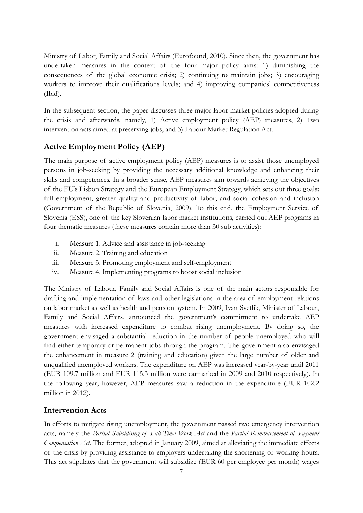Ministry of Labor, Family and Social Affairs (Eurofound, 2010). Since then, the government has undertaken measures in the context of the four major policy aims: 1) diminishing the consequences of the global economic crisis; 2) continuing to maintain jobs; 3) encouraging workers to improve their qualifications levels; and 4) improving companies' competitiveness (Ibid).

In the subsequent section, the paper discusses three major labor market policies adopted during the crisis and afterwards, namely, 1) Active employment policy (AEP) measures, 2) Two intervention acts aimed at preserving jobs, and 3) Labour Market Regulation Act.

# **Active Employment Policy (AEP)**

The main purpose of active employment policy (AEP) measures is to assist those unemployed persons in job-seeking by providing the necessary additional knowledge and enhancing their skills and competences. In a broader sense, AEP measures aim towards achieving the objectives of the EU's Lisbon Strategy and the European Employment Strategy, which sets out three goals: full employment, greater quality and productivity of labor, and social cohesion and inclusion (Government of the Republic of Slovenia, 2009). To this end, the Employment Service of Slovenia (ESS), one of the key Slovenian labor market institutions, carried out AEP programs in four thematic measures (these measures contain more than 30 sub activities):

- i. Measure 1. Advice and assistance in job-seeking
- ii. Measure 2. Training and education
- iii. Measure 3. Promoting employment and self-employment
- iv. Measure 4. Implementing programs to boost social inclusion

The Ministry of Labour, Family and Social Affairs is one of the main actors responsible for drafting and implementation of laws and other legislations in the area of employment relations on labor market as well as health and pension system. In 2009, Ivan Svetlik, Minister of Labour, Family and Social Affairs, announced the government's commitment to undertake AEP measures with increased expenditure to combat rising unemployment. By doing so, the government envisaged a substantial reduction in the number of people unemployed who will find either temporary or permanent jobs through the program. The government also envisaged the enhancement in measure 2 (training and education) given the large number of older and unqualified unemployed workers. The expenditure on AEP was increased year-by-year until 2011 (EUR 109.7 million and EUR 115.3 million were earmarked in 2009 and 2010 respectively). In the following year, however, AEP measures saw a reduction in the expenditure (EUR 102.2 million in 2012).

# **Intervention Acts**

In efforts to mitigate rising unemployment, the government passed two emergency intervention acts, namely the *Partial Subsidising of Full-Time Work Act* and the *Partial Reimbursement of Payment Compensation Act*. The former, adopted in January 2009, aimed at alleviating the immediate effects of the crisis by providing assistance to employers undertaking the shortening of working hours. This act stipulates that the government will subsidize (EUR 60 per employee per month) wages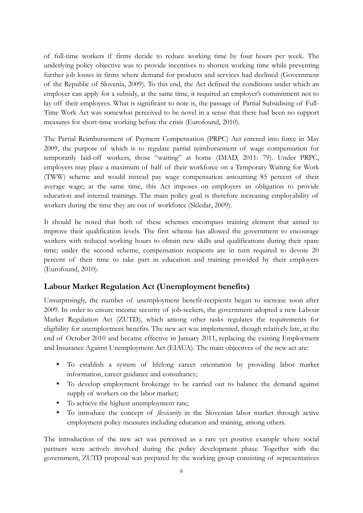of full-time workers if firms decide to reduce working time by four hours per week. The underlying policy objective was to provide incentives to shorten working time while preventing further job losses in firms where demand for products and services had declined (Government of the Republic of Slovenia, 2009). To this end, the Act defined the conditions under which an employer can apply for a subsidy, at the same time, it required an employer's commitment not to lay off their employees. What is significant to note is, the passage of Partial Subsidising of Full-Time Work Act was somewhat perceived to be novel in a sense that there had been no support measures for short-time working before the crisis (Eurofound, 2010).

The Partial Reimbursement of Payment Compensation (PRPC) Act entered into force in May 2009, the purpose of which is to regulate partial reimbursement of wage compensation for temporarily laid-off workers, those "waiting" at home (IMAD, 2011: 79). Under PRPC, employers may place a maximum of half of their workforce on a Temporary Waiting for Work (TWW) scheme and would instead pay wage compensation amounting 85 percent of their average wage; at the same time, this Act imposes on employers an obligation to provide education and internal trainings. The main policy goal is therefore increasing employability of workers during the time they are out of workforce (Skledar, 2009).

It should be noted that both of these schemes encompass training element that aimed to improve their qualification levels. The first scheme has allowed the government to encourage workers with reduced working hours to obtain new skills and qualifications during their spare time; under the second scheme, compensation recipients are in turn required to devote 20 percent of their time to take part in education and training provided by their employers (Eurofound, 2010).

### **Labour Market Regulation Act (Unemployment benefits)**

Unsurprisingly, the number of unemployment benefit-recipients began to increase soon after 2009. In order to ensure income security of job-seekers, the government adopted a new Labour Market Regulation Act (ZUTD), which among other tasks regulates the requirements for eligibility for unemployment benefits. The new act was implemented, though relatively late, at the end of October 2010 and became effective in January 2011, replacing the existing Employment and Insurance Against Unemployment Act (EIAUA). The main objectives of the new act are:

- To establish a system of lifelong career orientation by providing labor market information, career guidance and consultancy;
- To develop employment brokerage to be carried out to balance the demand against supply of workers on the labor market;
- To achieve the highest unemployment rate;
- To introduce the concept of *flexicurity* in the Slovenian labor market through active employment policy measures including education and training, among others.

The introduction of the new act was perceived as a rare yet positive example where social partners were actively involved during the policy development phase. Together with the government, ZUTD proposal was prepared by the working group consisting of representatives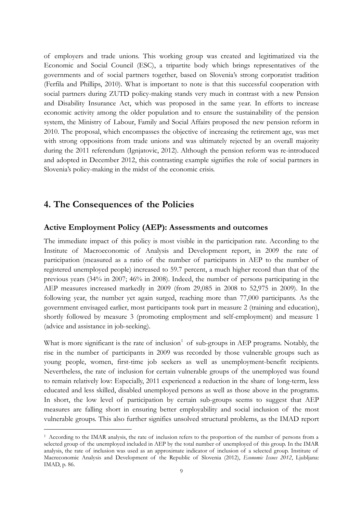of employers and trade unions. This working group was created and legitimatized via the Economic and Social Council (ESC), a tripartite body which brings representatives of the governments and of social partners together, based on Slovenia's strong corporatist tradition (Ferfila and Phillips, 2010). What is important to note is that this successful cooperation with social partners during ZUTD policy-making stands very much in contrast with a new Pension and Disability Insurance Act, which was proposed in the same year. In efforts to increase economic activity among the older population and to ensure the sustainability of the pension system, the Ministry of Labour, Family and Social Affairs proposed the new pension reform in 2010. The proposal, which encompasses the objective of increasing the retirement age, was met with strong oppositions from trade unions and was ultimately rejected by an overall majority during the 2011 referendum (Ignjatovic, 2012). Although the pension reform was re-introduced and adopted in December 2012, this contrasting example signifies the role of social partners in Slovenia's policy-making in the midst of the economic crisis.

# **4. The Consequences of the Policies**

-

#### **Active Employment Policy (AEP): Assessments and outcomes**

The immediate impact of this policy is most visible in the participation rate. According to the Institute of Macroeconomic of Analysis and Development report, in 2009 the rate of participation (measured as a ratio of the number of participants in AEP to the number of registered unemployed people) increased to 59.7 percent, a much higher record than that of the previous years (34% in 2007; 46% in 2008). Indeed, the number of persons participating in the AEP measures increased markedly in 2009 (from 29,085 in 2008 to 52,975 in 2009). In the following year, the number yet again surged, reaching more than 77,000 participants. As the government envisaged earlier, most participants took part in measure 2 (training and education), shortly followed by measure 3 (promoting employment and self-employment) and measure 1 (advice and assistance in job-seeking).

What is more significant is the rate of inclusion<sup>1</sup> of sub-groups in AEP programs. Notably, the rise in the number of participants in 2009 was recorded by those vulnerable groups such as young people, women, first-time job seekers as well as unemployment-benefit recipients. Nevertheless, the rate of inclusion for certain vulnerable groups of the unemployed was found to remain relatively low: Especially, 2011 experienced a reduction in the share of long-term, less educated and less skilled, disabled unemployed persons as well as those above in the programs. In short, the low level of participation by certain sub-groups seems to suggest that AEP measures are falling short in ensuring better employability and social inclusion of the most vulnerable groups. This also further signifies unsolved structural problems, as the IMAD report

<sup>1</sup> According to the IMAR analysis, the rate of inclusion refers to the proportion of the number of persons from a selected group of the unemployed included in AEP by the total number of unemployed of this group. In the IMAR analysis, the rate of inclusion was used as an approximate indicator of inclusion of a selected group. Institute of Macreconomic Analysis and Development of the Republic of Slovenia (2012), *Economic Issues 2012*, Ljubljana: IMAD, p. 86.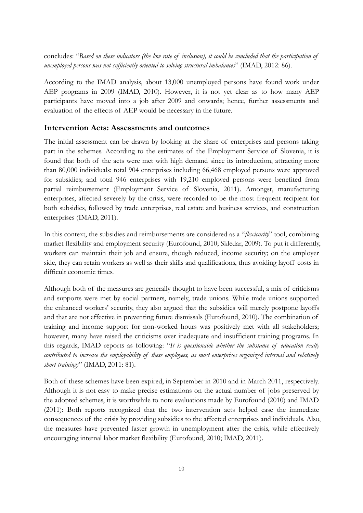concludes: "*Based on these indicators (the low rate of inclusion), it could be concluded that the participation of unemployed persons was not sufficiently oriented to solving structural imbalances*" (IMAD, 2012: 86).

According to the IMAD analysis, about 13,000 unemployed persons have found work under AEP programs in 2009 (IMAD, 2010). However, it is not yet clear as to how many AEP participants have moved into a job after 2009 and onwards; hence, further assessments and evaluation of the effects of AEP would be necessary in the future.

#### **Intervention Acts: Assessments and outcomes**

The initial assessment can be drawn by looking at the share of enterprises and persons taking part in the schemes. According to the estimates of the Employment Service of Slovenia, it is found that both of the acts were met with high demand since its introduction, attracting more than 80,000 individuals: total 904 enterprises including 66,468 employed persons were approved for subsidies; and total 946 enterprises with 19,210 employed persons were benefited from partial reimbursement (Employment Service of Slovenia, 2011). Amongst, manufacturing enterprises, affected severely by the crisis, were recorded to be the most frequent recipient for both subsidies, followed by trade enterprises, real estate and business services, and construction enterprises (IMAD, 2011).

In this context, the subsidies and reimbursements are considered as a "*flexicurity*" tool, combining market flexibility and employment security (Eurofound, 2010; Skledar, 2009). To put it differently, workers can maintain their job and ensure, though reduced, income security; on the employer side, they can retain workers as well as their skills and qualifications, thus avoiding layoff costs in difficult economic times.

Although both of the measures are generally thought to have been successful, a mix of criticisms and supports were met by social partners, namely, trade unions. While trade unions supported the enhanced workers' security, they also argued that the subsidies will merely postpone layoffs and that are not effective in preventing future dismissals (Eurofound, 2010). The combination of training and income support for non-worked hours was positively met with all stakeholders; however, many have raised the criticisms over inadequate and insufficient training programs. In this regards, IMAD reports as following: "*It is questionable whether the substance of education really contributed to increase the employability of these employees, as most enterprises organized internal and relatively short trainings*" (IMAD, 2011: 81).

Both of these schemes have been expired, in September in 2010 and in March 2011, respectively. Although it is not easy to make precise estimations on the actual number of jobs preserved by the adopted schemes, it is worthwhile to note evaluations made by Eurofound (2010) and IMAD (2011): Both reports recognized that the two intervention acts helped ease the immediate consequences of the crisis by providing subsidies to the affected enterprises and individuals. Also, the measures have prevented faster growth in unemployment after the crisis, while effectively encouraging internal labor market flexibility (Eurofound, 2010; IMAD, 2011).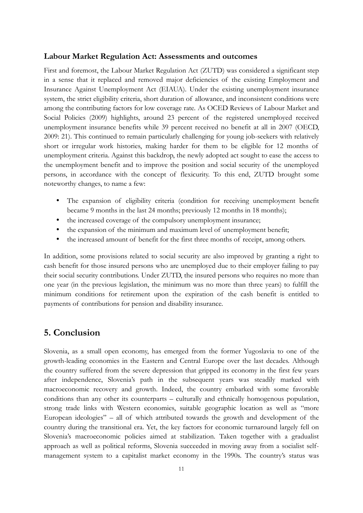#### **Labour Market Regulation Act: Assessments and outcomes**

First and foremost, the Labour Market Regulation Act (ZUTD) was considered a significant step in a sense that it replaced and removed major deficiencies of the existing Employment and Insurance Against Unemployment Act (EIAUA). Under the existing unemployment insurance system, the strict eligibility criteria, short duration of allowance, and inconsistent conditions were among the contributing factors for low coverage rate. As OCED Reviews of Labour Market and Social Policies (2009) highlights, around 23 percent of the registered unemployed received unemployment insurance benefits while 39 percent received no benefit at all in 2007 (OECD, 2009: 21). This continued to remain particularly challenging for young job-seekers with relatively short or irregular work histories, making harder for them to be eligible for 12 months of unemployment criteria. Against this backdrop, the newly adopted act sought to ease the access to the unemployment benefit and to improve the position and social security of the unemployed persons, in accordance with the concept of flexicurity. To this end, ZUTD brought some noteworthy changes, to name a few:

- The expansion of eligibility criteria (condition for receiving unemployment benefit became 9 months in the last 24 months; previously 12 months in 18 months);
- the increased coverage of the compulsory unemployment insurance;
- the expansion of the minimum and maximum level of unemployment benefit;
- the increased amount of benefit for the first three months of receipt, among others.

In addition, some provisions related to social security are also improved by granting a right to cash benefit for those insured persons who are unemployed due to their employer failing to pay their social security contributions. Under ZUTD, the insured persons who requires no more than one year (in the previous legislation, the minimum was no more than three years) to fulfill the minimum conditions for retirement upon the expiration of the cash benefit is entitled to payments of contributions for pension and disability insurance.

## **5. Conclusion**

Slovenia, as a small open economy, has emerged from the former Yugoslavia to one of the growth-leading economies in the Eastern and Central Europe over the last decades. Although the country suffered from the severe depression that gripped its economy in the first few years after independence, Slovenia's path in the subsequent years was steadily marked with macroeconomic recovery and growth. Indeed, the country embarked with some favorable conditions than any other its counterparts – culturally and ethnically homogenous population, strong trade links with Western economies, suitable geographic location as well as "more European ideologies" – all of which attributed towards the growth and development of the country during the transitional era. Yet, the key factors for economic turnaround largely fell on Slovenia's macroeconomic policies aimed at stabilization. Taken together with a gradualist approach as well as political reforms, Slovenia succeeded in moving away from a socialist selfmanagement system to a capitalist market economy in the 1990s. The country's status was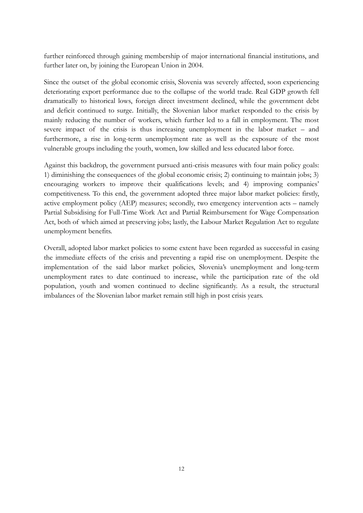further reinforced through gaining membership of major international financial institutions, and further later on, by joining the European Union in 2004.

Since the outset of the global economic crisis, Slovenia was severely affected, soon experiencing deteriorating export performance due to the collapse of the world trade. Real GDP growth fell dramatically to historical lows, foreign direct investment declined, while the government debt and deficit continued to surge. Initially, the Slovenian labor market responded to the crisis by mainly reducing the number of workers, which further led to a fall in employment. The most severe impact of the crisis is thus increasing unemployment in the labor market – and furthermore, a rise in long-term unemployment rate as well as the exposure of the most vulnerable groups including the youth, women, low skilled and less educated labor force.

Against this backdrop, the government pursued anti-crisis measures with four main policy goals: 1) diminishing the consequences of the global economic crisis; 2) continuing to maintain jobs; 3) encouraging workers to improve their qualifications levels; and 4) improving companies' competitiveness. To this end, the government adopted three major labor market policies: firstly, active employment policy (AEP) measures; secondly, two emergency intervention acts – namely Partial Subsidising for Full-Time Work Act and Partial Reimbursement for Wage Compensation Act, both of which aimed at preserving jobs; lastly, the Labour Market Regulation Act to regulate unemployment benefits.

Overall, adopted labor market policies to some extent have been regarded as successful in easing the immediate effects of the crisis and preventing a rapid rise on unemployment. Despite the implementation of the said labor market policies, Slovenia's unemployment and long-term unemployment rates to date continued to increase, while the participation rate of the old population, youth and women continued to decline significantly. As a result, the structural imbalances of the Slovenian labor market remain still high in post crisis years.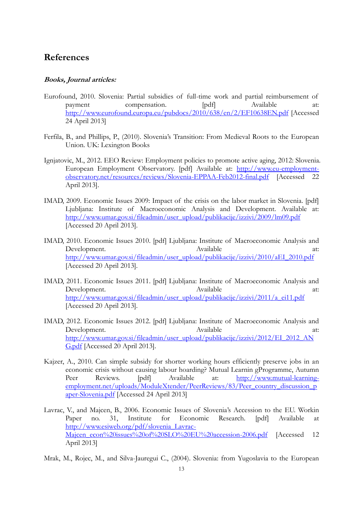# **References**

#### **Books, Journal articles:**

- Eurofound, 2010. Slovenia: Partial subsidies of full-time work and partial reimbursement of payment compensation. [pdf] Available at: <http://www.eurofound.europa.eu/pubdocs/2010/638/en/2/EF10638EN.pdf>[Accessed 24 April 2013]
- Ferfila, B., and Phillips, P., (2010). Slovenia's Transition: From Medieval Roots to the European Union. UK: Lexington Books
- Ignjatovic, M., 2012. EEO Review: Employment policies to promote active aging, 2012: Slovenia. European Employment Observatory. [pdf] Available at: [http://www.eu-employment](http://www.eu-employment-observatory.net/resources/reviews/Slovenia-EPPAA-Feb2012-final.pdf)[observatory.net/resources/reviews/Slovenia-EPPAA-Feb2012-final.pdf](http://www.eu-employment-observatory.net/resources/reviews/Slovenia-EPPAA-Feb2012-final.pdf) [Accessed 22 April 2013].
- IMAD, 2009. Economic Issues 2009: Impact of the crisis on the labor market in Slovenia. [pdf] Ljubljana: Institute of Macroeconomic Analysis and Development. Available at: [http://www.umar.gov.si/fileadmin/user\\_upload/publikacije/izzivi/2009/lm09.pdf](http://www.umar.gov.si/fileadmin/user_upload/publikacije/izzivi/2009/lm09.pdf) [Accessed 20 April 2013].
- IMAD, 2010. Economic Issues 2010. [pdf] Ljubljana: Institute of Macroeconomic Analysis and Development. Available at: [http://www.umar.gov.si/fileadmin/user\\_upload/publikacije/izzivi/2010/aEI\\_2010.pdf](http://www.umar.gov.si/fileadmin/user_upload/publikacije/izzivi/2010/aEI_2010.pdf) [Accessed 20 April 2013].
- IMAD, 2011. Economic Issues 2011. [pdf] Ljubljana: Institute of Macroeconomic Analysis and Development. Available at: [http://www.umar.gov.si/fileadmin/user\\_upload/publikacije/izzivi/2011/a\\_ei11.pdf](http://www.umar.gov.si/fileadmin/user_upload/publikacije/izzivi/2011/a_ei11.pdf) [Accessed 20 April 2013].
- IMAD, 2012. Economic Issues 2012. [pdf] Ljubljana: Institute of Macroeconomic Analysis and Development. Available at: [http://www.umar.gov.si/fileadmin/user\\_upload/publikacije/izzivi/2012/EI\\_2012\\_AN](http://www.umar.gov.si/fileadmin/user_upload/publikacije/izzivi/2012/EI_2012_ANG.pdf) [G.pdf](http://www.umar.gov.si/fileadmin/user_upload/publikacije/izzivi/2012/EI_2012_ANG.pdf) [Accessed 20 April 2013].
- Kajzer, A., 2010. Can simple subsidy for shorter working hours efficiently preserve jobs in an economic crisis without causing labour hoarding? Mutual Learnin gProgramme, Autumn Peer Reviews. [pdf] Available at: [http://www.mutual-learning](http://www.mutual-learning-employment.net/uploads/ModuleXtender/PeerReviews/83/Peer_country_discussion_paper-Slovenia.pdf)[employment.net/uploads/ModuleXtender/PeerReviews/83/Peer\\_country\\_discussion\\_p](http://www.mutual-learning-employment.net/uploads/ModuleXtender/PeerReviews/83/Peer_country_discussion_paper-Slovenia.pdf) [aper-Slovenia.pdf](http://www.mutual-learning-employment.net/uploads/ModuleXtender/PeerReviews/83/Peer_country_discussion_paper-Slovenia.pdf) [Accessed 24 April 2013]
- Lavrac, V., and Majcen, B., 2006. Economic Issues of Slovenia's Accession to the EU. Workin Paper no. 31, Institute for Economic Research. [pdf] Available at [http://www.esiweb.org/pdf/slovenia\\_Lavrac-](http://www.esiweb.org/pdf/slovenia_Lavrac-Majcen_econ%20issues%20of%20SLO%20EU%20accession-2006.pdf)[Majcen\\_econ%20issues%20of%20SLO%20EU%20accession-2006.pdf](http://www.esiweb.org/pdf/slovenia_Lavrac-Majcen_econ%20issues%20of%20SLO%20EU%20accession-2006.pdf) [Accessed 12 April 2013]
- Mrak, M., Rojec, M., and Silva-Jauregui C., (2004). Slovenia: from Yugoslavia to the European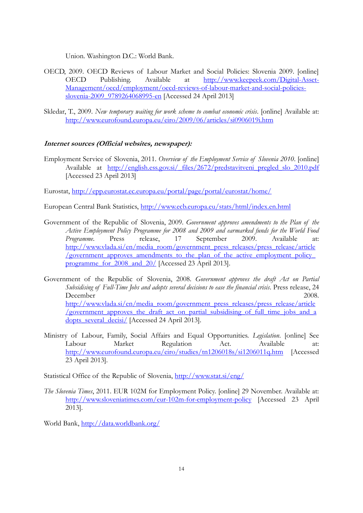Union. Washington D.C.: World Bank.

- OECD, 2009. OECD Reviews of Labour Market and Social Policies: Slovenia 2009. [online] OECD Publishing. Available at [http://www.keepeek.com/Digital-Asset-](http://www.keepeek.com/Digital-Asset-Management/oecd/employment/oecd-reviews-of-labour-market-and-social-policies-slovenia-2009_9789264068995-en)[Management/oecd/employment/oecd-reviews-of-labour-market-and-social-policies](http://www.keepeek.com/Digital-Asset-Management/oecd/employment/oecd-reviews-of-labour-market-and-social-policies-slovenia-2009_9789264068995-en)[slovenia-2009\\_9789264068995-en](http://www.keepeek.com/Digital-Asset-Management/oecd/employment/oecd-reviews-of-labour-market-and-social-policies-slovenia-2009_9789264068995-en) [Accessed 24 April 2013]
- Skledar, T., 2009. *New temporary waiting for work scheme to combat economic crisis*. [online] Available at: <http://www.eurofound.europa.eu/eiro/2009/06/articles/si0906019i.htm>

#### **Internet sources (Official websites, newspaper):**

Employment Service of Slovenia, 2011. *Overview of the Employment Service of Slovenia 2010*. [online] Available at [http://english.ess.gov.si/\\_files/2672/predstavitveni\\_pregled\\_slo\\_2010.pdf](http://english.ess.gov.si/_files/2672/predstavitveni_pregled_slo_2010.pdf) [Accessed 23 April 2013]

Eurostat,<http://epp.eurostat.ec.europa.eu/portal/page/portal/eurostat/home/>

European Central Bank Statistics,<http://www.ecb.europa.eu/stats/html/index.en.html>

- Government of the Republic of Slovenia, 2009. *Government approves amendments to the Plan of the Active Employment Policy Programme for 2008 and 2009 and earmarked funds for the World Food Programme*. Press release, 17 September 2009. Available at: [http://www.vlada.si/en/media\\_room/government\\_press\\_releases/press\\_release/article](http://www.vlada.si/en/media_room/government_press_releases/press_release/article/government_approves_amendments_to_the_plan_of_the_active_employment_policy_programme_for_2008_and_20/) [/government\\_approves\\_amendments\\_to\\_the\\_plan\\_of\\_the\\_active\\_employment\\_policy\\_](http://www.vlada.si/en/media_room/government_press_releases/press_release/article/government_approves_amendments_to_the_plan_of_the_active_employment_policy_programme_for_2008_and_20/) [programme\\_for\\_2008\\_and\\_20/](http://www.vlada.si/en/media_room/government_press_releases/press_release/article/government_approves_amendments_to_the_plan_of_the_active_employment_policy_programme_for_2008_and_20/) [Accessed 23 April 2013].
- Government of the Republic of Slovenia, 2008. *Government approves the draft Act on Partial Subsidising of Full-Time Jobs and adopts several decisions to ease the financial crisis*. Press release, 24 December 2008. [http://www.vlada.si/en/media\\_room/government\\_press\\_releases/press\\_release/article](http://www.vlada.si/en/media_room/government_press_releases/press_release/article/government_approves_the_draft_act_on_partial_subsidising_of_full_time_jobs_and_adopts_several_decisi/) [/government\\_approves\\_the\\_draft\\_act\\_on\\_partial\\_subsidising\\_of\\_full\\_time\\_jobs\\_and\\_a](http://www.vlada.si/en/media_room/government_press_releases/press_release/article/government_approves_the_draft_act_on_partial_subsidising_of_full_time_jobs_and_adopts_several_decisi/) [dopts\\_several\\_decisi/](http://www.vlada.si/en/media_room/government_press_releases/press_release/article/government_approves_the_draft_act_on_partial_subsidising_of_full_time_jobs_and_adopts_several_decisi/) [Accessed 24 April 2013].
- Ministry of Labour, Family, Social Affairs and Equal Opportunities. *Legislation*. [online] See Labour Market Regulation Act. Available at: <http://www.eurofound.europa.eu/eiro/studies/tn1206018s/si1206011q.htm>[Accessed 23 April 2013].

Statistical Office of the Republic of Slovenia,<http://www.stat.si/eng/>

*The Slovenia Times*, 2011. EUR 102M for Employment Policy. [online] 29 November. Available at: <http://www.sloveniatimes.com/eur-102m-for-employment-policy>[Accessed 23 April 2013].

World Bank, http://data.worldbank.org/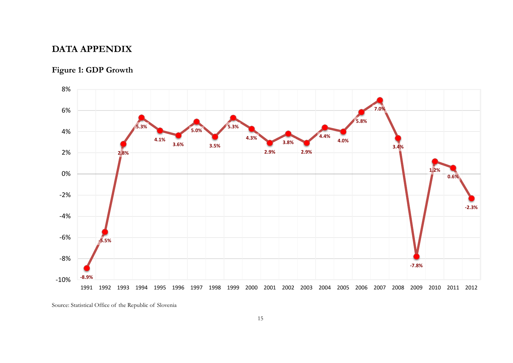# **DATA APPENDIX**

# **Figure 1: GDP Growth**



Source: Statistical Office of the Republic of Slovenia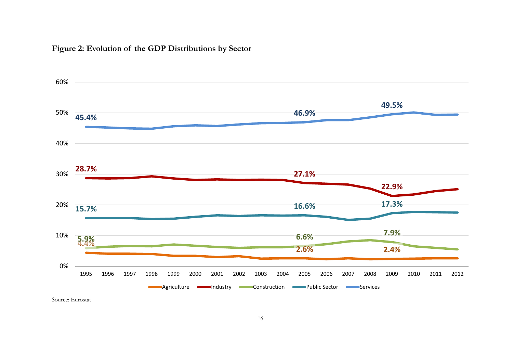# **Figure 2: Evolution of the GDP Distributions by Sector**

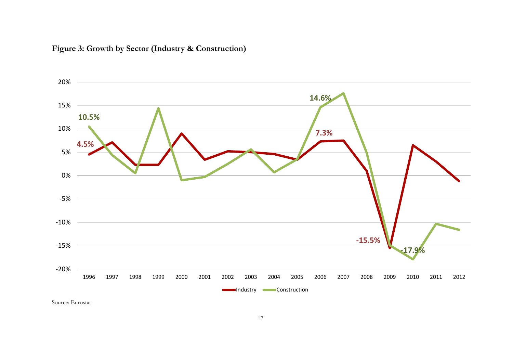

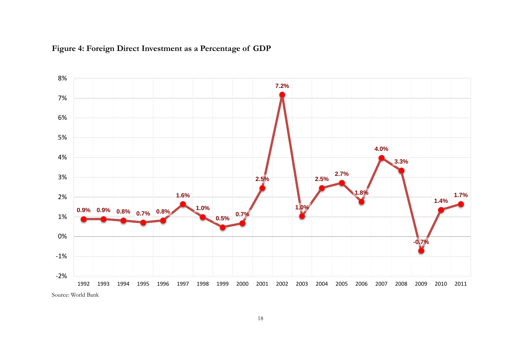

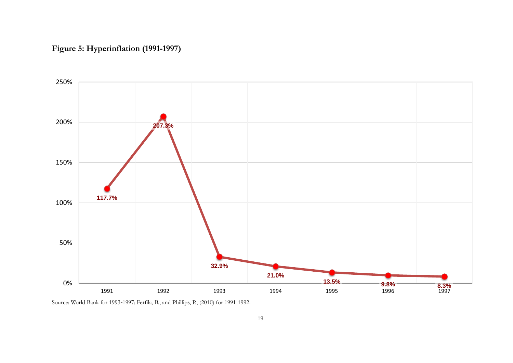# **Figure 5: Hyperinflation (1991-1997)**



Source: World Bank for 1993-1997; Ferfila, B., and Phillips, P., (2010) for 1991-1992.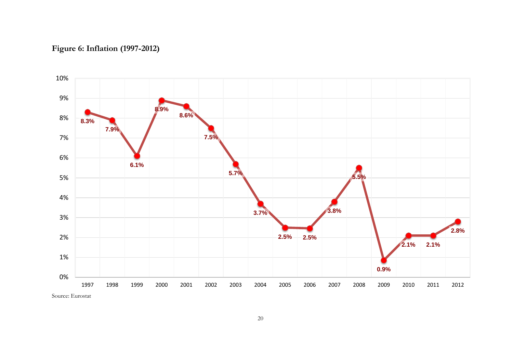# **Figure 6: Inflation (1997-2012)**

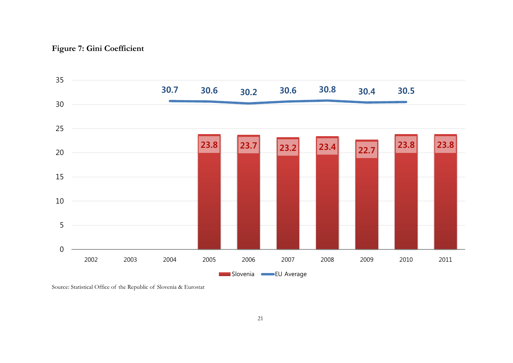# **Figure 7: Gini Coefficient**

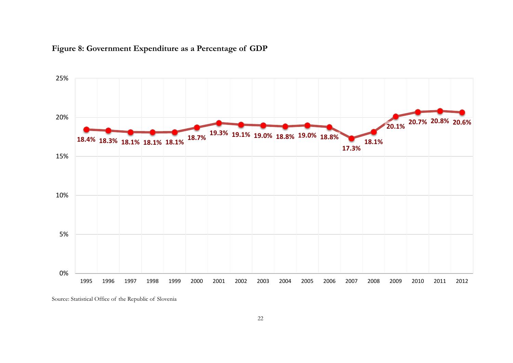

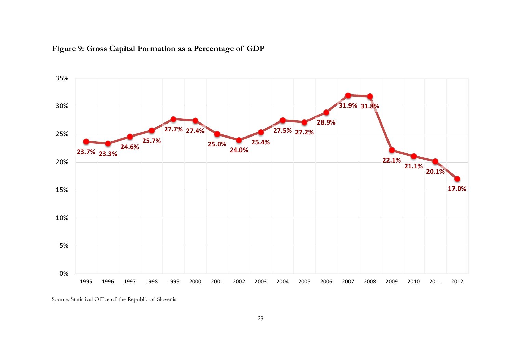

# **Figure 9: Gross Capital Formation as a Percentage of GDP**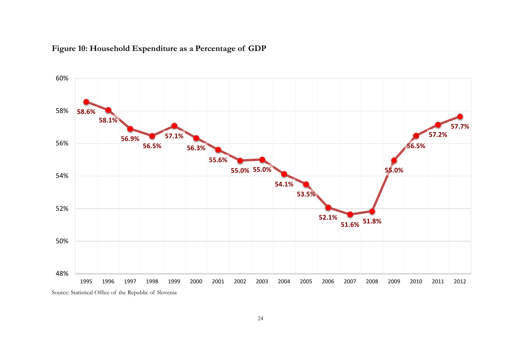

# **Figure 10: Household Expenditure as a Percentage of GDP**

![](_page_24_Figure_2.jpeg)

48%

50%

1995 1996 1997 1998 1999 2000 2001 2002 2003 2004 2005 2006 2007 2008 2009 2010 2011 2012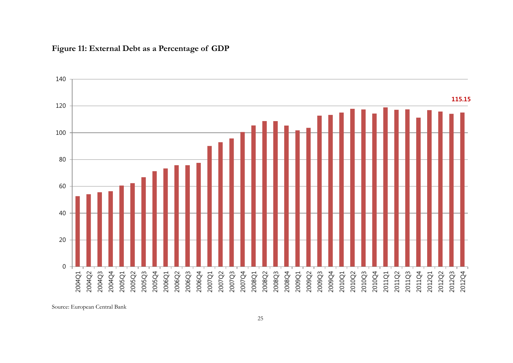![](_page_25_Figure_0.jpeg)

## **Figure 11: External Debt as a Percentage of GDP**

Source: European Central Bank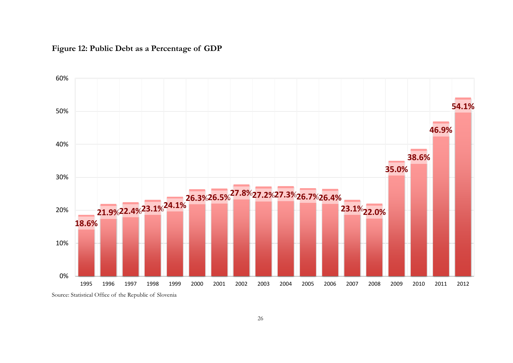![](_page_26_Figure_0.jpeg)

![](_page_26_Figure_1.jpeg)

Source: Statistical Office of the Republic of Slovenia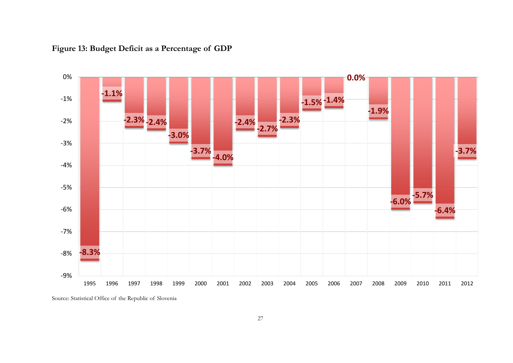![](_page_27_Figure_0.jpeg)

**Figure 13: Budget Deficit as a Percentage of GDP**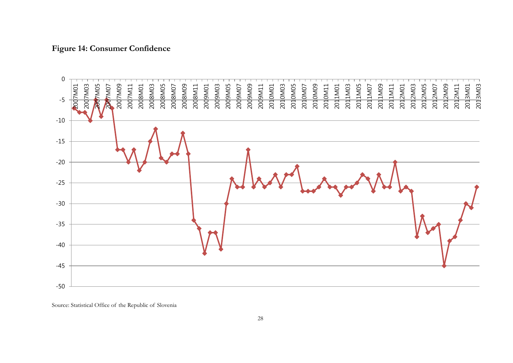## **Figure 14: Consumer Confidence**

![](_page_28_Figure_1.jpeg)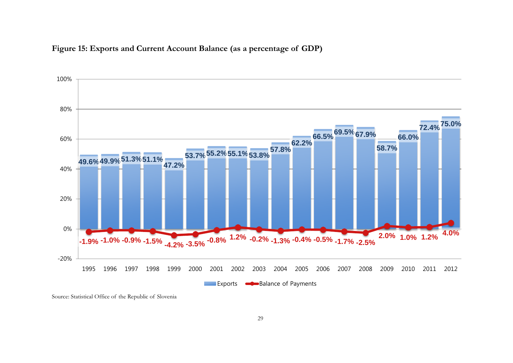![](_page_29_Figure_0.jpeg)

![](_page_29_Figure_1.jpeg)

Source: Statistical Office of the Republic of Slovenia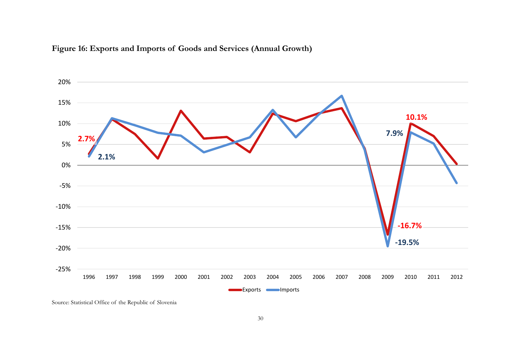![](_page_30_Figure_0.jpeg)

![](_page_30_Figure_1.jpeg)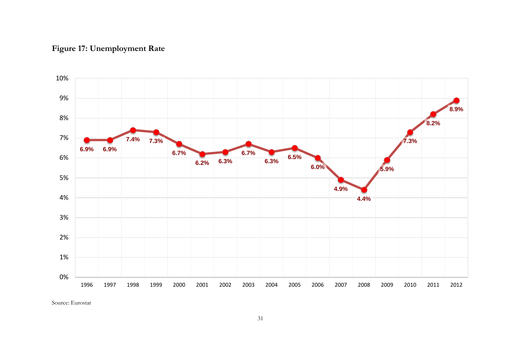# **Figure 17: Unemployment Rate**

![](_page_31_Figure_1.jpeg)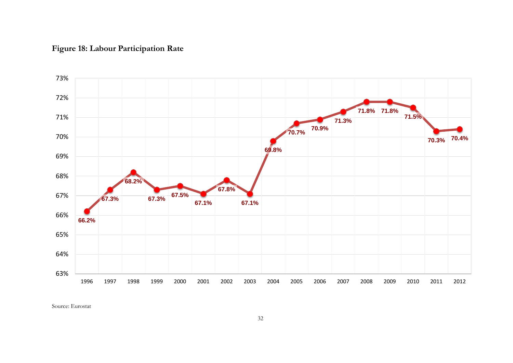# **Figure 18: Labour Participation Rate**

![](_page_32_Figure_1.jpeg)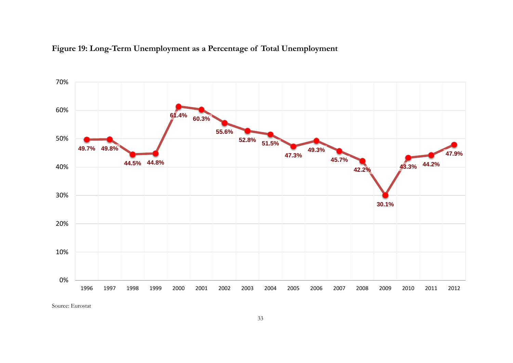![](_page_33_Figure_0.jpeg)

![](_page_33_Figure_1.jpeg)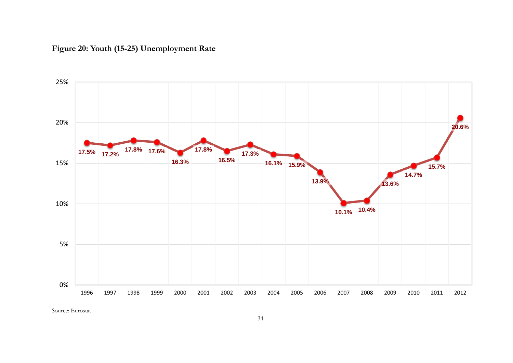![](_page_34_Figure_0.jpeg)

![](_page_34_Figure_1.jpeg)